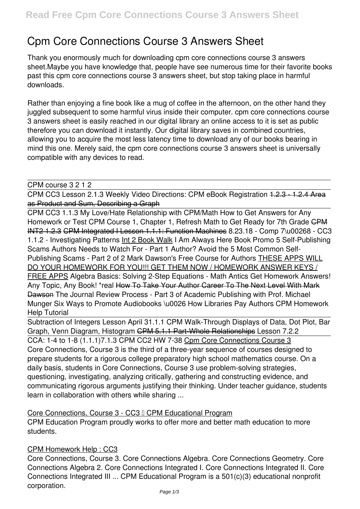# **Cpm Core Connections Course 3 Answers Sheet**

Thank you enormously much for downloading **cpm core connections course 3 answers sheet**.Maybe you have knowledge that, people have see numerous time for their favorite books past this cpm core connections course 3 answers sheet, but stop taking place in harmful downloads.

Rather than enjoying a fine book like a mug of coffee in the afternoon, on the other hand they juggled subsequent to some harmful virus inside their computer. **cpm core connections course 3 answers sheet** is easily reached in our digital library an online access to it is set as public therefore you can download it instantly. Our digital library saves in combined countries, allowing you to acquire the most less latency time to download any of our books bearing in mind this one. Merely said, the cpm core connections course 3 answers sheet is universally compatible with any devices to read.

CPM course 3 2 1 2

CPM CC3 Lesson 2.1.3 Weekly Video Directions: CPM eBook Registration 1.2.3 - 1.2.4 Area as Product and Sum, Describing a Graph

CPM CC3 1.1.3 My Love/Hate Relationship with CPM/Math *How to Get Answers for Any* Homework or Test CPM Course 1, Chapter 1, Refresh Math to Get Ready for 7th Grade CPM INT2 1.2.3 CPM Integrated I Lesson 1.1.1: Function Machines **8.23.18 - Comp 7\u00268 - CC3 1.1.2 - Investigating Patterns** Int 2 Book Walk *I Am Always Here Book Promo 5 Self-Publishing Scams Authors Needs to Watch For - Part 1 Author? Avoid the 5 Most Common Self-Publishing Scams - Part 2 of 2 Mark Dawson's Free Course for Authors* THESE APPS WILL DO YOUR HOMEWORK FOR YOU!!! GET THEM NOW / HOMEWORK ANSWER KEYS / FREE APPS Algebra Basics: Solving 2-Step Equations - Math Antics *Get Homework Answers! Any Topic, Any Book! \*real* How To Take Your Author Career To The Next Level With Mark Dawson *The Journal Review Process - Part 3 of Academic Publishing with Prof. Michael Munger Six Ways to Promote Audiobooks \u0026 How Libraries Pay Authors CPM Homework Help Tutorial*

Subtraction of Integers Lesson April 3**1.1.1 CPM Walk-Through** *Displays of Data, Dot Plot, Bar Graph, Venn Diagram, Histogram* CPM 5.1.1 Part-Whole Relationships *Lesson 7.2.2*

CCA: 1-4 to 1-8 (1.1.1)*7.1.3 CPM CC2 HW 7-38* Cpm Core Connections Course 3 Core Connections, Course 3 is the third of a three-year sequence of courses designed to prepare students for a rigorous college preparatory high school mathematics course. On a daily basis, students in Core Connections, Course 3 use problem-solving strategies, questioning, investigating, analyzing critically, gathering and constructing evidence, and communicating rigorous arguments justifying their thinking. Under teacher guidance, students learn in collaboration with others while sharing ...

#### Core Connections, Course 3 - CC3 I CPM Educational Program

CPM Education Program proudly works to offer more and better math education to more students.

# CPM Homework Help : CC3

Core Connections, Course 3. Core Connections Algebra. Core Connections Geometry. Core Connections Algebra 2. Core Connections Integrated I. Core Connections Integrated II. Core Connections Integrated III ... CPM Educational Program is a 501(c)(3) educational nonprofit corporation.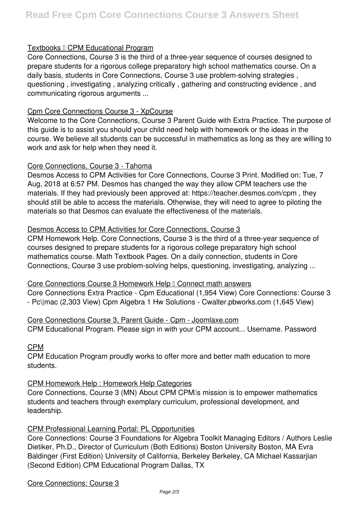# Textbooks I CPM Educational Program

Core Connections, Course 3 is the third of a three-year sequence of courses designed to prepare students for a rigorous college preparatory high school mathematics course. On a daily basis, students in Core Connections, Course 3 use problem-solving strategies , questioning , investigating , analyzing critically , gathering and constructing evidence , and communicating rigorous arguments ...

## Cpm Core Connections Course 3 - XpCourse

Welcome to the Core Connections, Course 3 Parent Guide with Extra Practice. The purpose of this guide is to assist you should your child need help with homework or the ideas in the course. We believe all students can be successful in mathematics as long as they are willing to work and ask for help when they need it.

#### Core Connections, Course 3 - Tahoma

Desmos Access to CPM Activities for Core Connections, Course 3 Print. Modified on: Tue, 7 Aug, 2018 at 6:57 PM. Desmos has changed the way they allow CPM teachers use the materials. If they had previously been approved at: https://teacher.desmos.com/cpm , they should still be able to access the materials. Otherwise, they will need to agree to piloting the materials so that Desmos can evaluate the effectiveness of the materials.

#### Desmos Access to CPM Activities for Core Connections, Course 3

CPM Homework Help. Core Connections, Course 3 is the third of a three-year sequence of courses designed to prepare students for a rigorous college preparatory high school mathematics course. Math Textbook Pages. On a daily connection, students in Core Connections, Course 3 use problem-solving helps, questioning, investigating, analyzing ...

#### Core Connections Course 3 Homework Help I Connect math answers

Core Connections Extra Practice - Cpm Educational (1,954 View) Core Connections: Course 3 - Pc\|mac (2,303 View) Cpm Algebra 1 Hw Solutions - Cwalter.pbworks.com (1,645 View)

Core Connections Course 3, Parent Guide - Cpm - Joomlaxe.com CPM Educational Program. Please sign in with your CPM account... Username. Password

#### CPM

CPM Education Program proudly works to offer more and better math education to more students.

#### CPM Homework Help : Homework Help Categories

Core Connections, Course 3 (MN) About CPM CPMIs mission is to empower mathematics students and teachers through exemplary curriculum, professional development, and leadership.

#### CPM Professional Learning Portal: PL Opportunities

Core Connections: Course 3 Foundations for Algebra Toolkit Managing Editors / Authors Leslie Dietiker, Ph.D., Director of Curriculum (Both Editions) Boston University Boston, MA Evra Baldinger (First Edition) University of California, Berkeley Berkeley, CA Michael Kassarjian (Second Edition) CPM Educational Program Dallas, TX